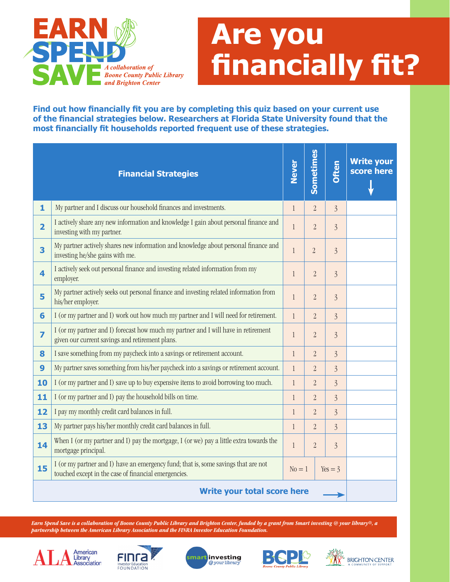

# **Are you financially fit?**

Find out how financially fit you are by completing this quiz based on your current use of the financial strategies below. Researchers at Florida State University found that the most financially fit households reported frequent use of these strategies.

|                                    | <b>Financial Strategies</b>                                                                                                                | <b>Never</b> | Sometimes      | Often          | <b>Write your</b><br>score here |
|------------------------------------|--------------------------------------------------------------------------------------------------------------------------------------------|--------------|----------------|----------------|---------------------------------|
| $\mathbf{1}$                       | My partner and I discuss our household finances and investments.                                                                           | $\mathbf{1}$ | $\overline{2}$ | $\overline{3}$ |                                 |
| $\overline{2}$                     | I actively share any new information and knowledge I gain about personal finance and<br>investing with my partner.                         | $\mathbf{1}$ | $\overline{2}$ | $\overline{3}$ |                                 |
| 3                                  | My partner actively shares new information and knowledge about personal finance and<br>investing he/she gains with me.                     | $\mathbf{1}$ | $\overline{2}$ | $\overline{3}$ |                                 |
| $\overline{\mathbf{4}}$            | I actively seek out personal finance and investing related information from my<br>employer.                                                | $\mathbf{1}$ | $\overline{2}$ | $\overline{3}$ |                                 |
| 5                                  | My partner actively seeks out personal finance and investing related information from<br>his/her employer.                                 | $\mathbf{1}$ | $\overline{2}$ | $\overline{3}$ |                                 |
| 6                                  | I (or my partner and I) work out how much my partner and I will need for retirement.                                                       | $\mathbf{1}$ | $\overline{2}$ | $\overline{3}$ |                                 |
| $\overline{z}$                     | I (or my partner and I) forecast how much my partner and I will have in retirement<br>given our current savings and retirement plans.      | $\mathbf{1}$ | $\overline{2}$ | $\overline{3}$ |                                 |
| 8                                  | I save something from my paycheck into a savings or retirement account.                                                                    | $\mathbf{1}$ | $\overline{2}$ | $\overline{3}$ |                                 |
| 9                                  | My partner saves something from his/her paycheck into a savings or retirement account.                                                     | $\mathbf{1}$ | $\overline{2}$ | $\overline{3}$ |                                 |
| 10                                 | I (or my partner and I) save up to buy expensive items to avoid borrowing too much.                                                        | $\mathbf{1}$ | $\overline{2}$ | $\overline{3}$ |                                 |
| 11                                 | I (or my partner and I) pay the household bills on time.                                                                                   | $\mathbf{1}$ | $\overline{2}$ | $\overline{3}$ |                                 |
| 12                                 | I pay my monthly credit card balances in full.                                                                                             | $\mathbf{1}$ | $\overline{2}$ | $\overline{3}$ |                                 |
| 13                                 | My partner pays his/her monthly credit card balances in full.                                                                              | $\mathbf{1}$ | $\overline{2}$ | $\overline{3}$ |                                 |
| 14                                 | When I (or my partner and I) pay the mortgage, I (or we) pay a little extra towards the<br>mortgage principal.                             | $\mathbf{1}$ | $\overline{2}$ | $\overline{3}$ |                                 |
| 15                                 | I (or my partner and I) have an emergency fund; that is, some savings that are not<br>touched except in the case of financial emergencies. | $No = 1$     |                | $Yes = 3$      |                                 |
| <b>Write your total score here</b> |                                                                                                                                            |              |                |                |                                 |

*Earn Spend Save is a collaboration of Boone County Public Library and Brighton Center, funded by a grant from Smart investing @ your library®, a partnership between the American Library Association and the FINRA Investor Education Foundation.*